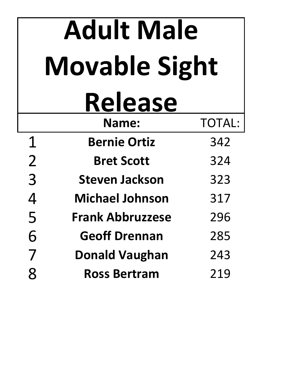|                | <b>Adult Male</b>       |               |
|----------------|-------------------------|---------------|
|                | <b>Movable Sight</b>    |               |
|                | <b>Release</b>          |               |
|                | <b>Name:</b>            | <b>TOTAL:</b> |
| $\mathbf 1$    | <b>Bernie Ortiz</b>     | 342           |
| $\overline{2}$ | <b>Bret Scott</b>       | 324           |
| 3              | <b>Steven Jackson</b>   | 323           |
| 4              | <b>Michael Johnson</b>  | 317           |
| 5              | <b>Frank Abbruzzese</b> | 296           |
| <b>b</b>       | <b>Geoff Drennan</b>    | 285           |
| 7              | <b>Donald Vaughan</b>   | 243           |
| 8              | <b>Ross Bertram</b>     | 219           |
|                |                         |               |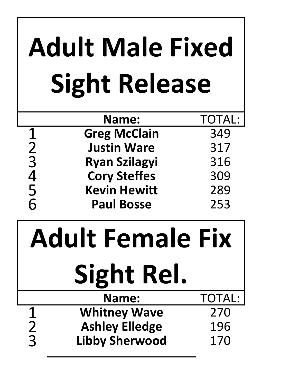|               | <b>Adult Male Fixed</b><br><b>Sight Release</b> |               |
|---------------|-------------------------------------------------|---------------|
|               | <b>Name:</b>                                    | <b>TOTAL:</b> |
| 123456        | <b>Greg McClain</b>                             | 349           |
|               | <b>Justin Ware</b>                              | 317           |
|               | <b>Ryan Szilagyi</b>                            | 316           |
|               | <b>Cory Steffes</b>                             | 309           |
|               | <b>Kevin Hewitt</b>                             | 289           |
|               | <b>Paul Bosse</b>                               | 253           |
|               | dult Female Fi:<br><b>Sight Rel.</b>            |               |
|               | <b>Name:</b>                                    | <b>TOTAL:</b> |
| <u>1</u>      | <b>Whitney Wave</b>                             | 270           |
| $\frac{2}{3}$ | <b>Ashley Elledge</b>                           | 196           |
|               | <b>Libby Sherwood</b>                           | 170           |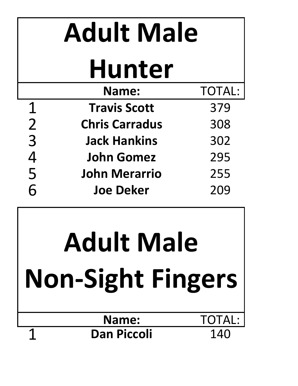|                | <b>Adult Male</b>     |               |
|----------------|-----------------------|---------------|
|                | <b>Hunter</b>         |               |
|                | <b>Name:</b>          | <b>TOTAL:</b> |
| $\mathbf 1$    | <b>Travis Scott</b>   | 379           |
| $\overline{2}$ | <b>Chris Carradus</b> | 308           |
| $\overline{3}$ | <b>Jack Hankins</b>   | 302           |
| 4<br>5         | <b>John Gomez</b>     | 295           |
|                | <b>John Merarrio</b>  | 255           |
| 6              | <b>Joe Deker</b>      | 209           |

## **Adult Male Non-Sight Fingers**

## **Name:** TOTAL: 1 **Dan Piccoli** 140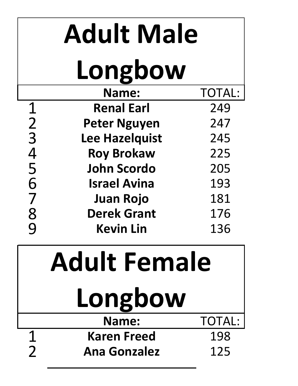|                | <b>Adult Male</b>   |               |
|----------------|---------------------|---------------|
|                | Longbow             |               |
|                | Name:               | <b>TOTAL:</b> |
| $\mathbf 1$    | <b>Renal Earl</b>   | 249           |
|                | <b>Peter Nguyen</b> | 247           |
| $\frac{2}{3}$  | Lee Hazelquist      | 245           |
| 4<br>5         | <b>Roy Brokaw</b>   | 225           |
|                | <b>John Scordo</b>  | 205           |
| 6              | <b>Israel Avina</b> | 193           |
| 7              | <b>Juan Rojo</b>    | 181           |
| $\frac{8}{9}$  | <b>Derek Grant</b>  | 176           |
|                | <b>Kevin Lin</b>    | 136           |
|                | <b>Adult Female</b> |               |
|                | Longbow             |               |
|                | Name:               | <b>TOTAL:</b> |
| 1              | <b>Karen Freed</b>  | 198           |
| $\overline{2}$ | <b>Ana Gonzalez</b> | 125           |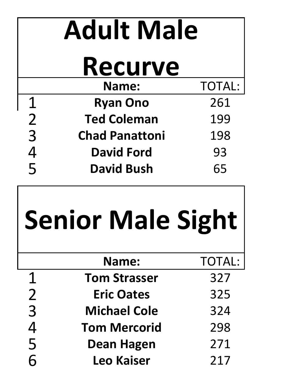|                | <b>Adult Male</b>        |               |
|----------------|--------------------------|---------------|
|                | <b>Recurve</b>           |               |
|                | Name:                    | <b>TOTAL:</b> |
| $\mathbf 1$    | <b>Ryan Ono</b>          | 261           |
| $\overline{2}$ | <b>Ted Coleman</b>       | 199           |
| $\overline{3}$ | <b>Chad Panattoni</b>    | 198           |
| 4<br>5         | <b>David Ford</b>        | 93            |
|                | <b>David Bush</b>        | 65            |
|                |                          |               |
|                | <b>Senior Male Sight</b> |               |
|                | <b>Name:</b>             | <b>TOTAL:</b> |
| 1              | <b>Tom Strasser</b>      | 327           |
| $\overline{2}$ | <b>Eric Oates</b>        | 325           |
| 3              | <b>Michael Cole</b>      | 324           |
| $\overline{4}$ | <b>Tom Mercorid</b>      | 298           |
| 5<br>6         | Dean Hagen               | 271           |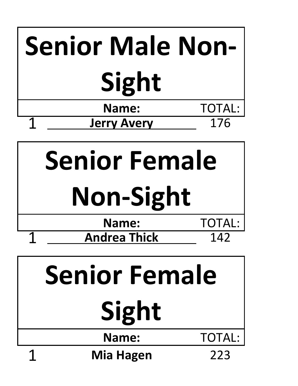| <b>Senior Male Non-</b> |               |
|-------------------------|---------------|
| Sight                   |               |
| Name:                   | <b>TOTAL:</b> |
| <b>Jerry Avery</b>      | 176           |



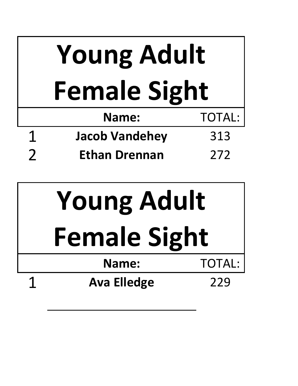|   | <b>Young Adult</b>    |               |
|---|-----------------------|---------------|
|   | <b>Female Sight</b>   |               |
|   | <b>Name:</b>          | <b>TOTAL:</b> |
| 1 | <b>Jacob Vandehey</b> | 313           |
|   | <b>Ethan Drennan</b>  | 272           |

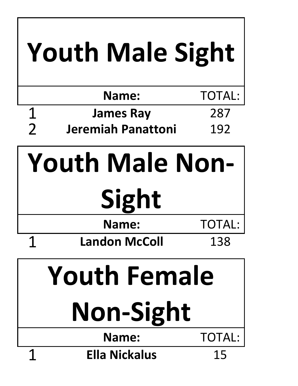|                     | <b>Youth Male Sight</b> |               |
|---------------------|-------------------------|---------------|
|                     | Name:                   | <b>TOTAL:</b> |
| 1                   | <b>James Ray</b>        | 287           |
| $\overline{2}$      | Jeremiah Panattoni      | 192           |
|                     | <b>Youth Male Non-</b>  |               |
|                     | Sight                   |               |
|                     | <b>Name:</b>            | <b>TOTAL:</b> |
|                     | <b>Landon McColl</b>    | 138           |
| <b>Youth Female</b> |                         |               |
| <b>Non-Sight</b>    |                         |               |
|                     | <b>Name:</b>            | <b>TOTAL:</b> |
| 1                   | <b>Ella Nickalus</b>    | 15            |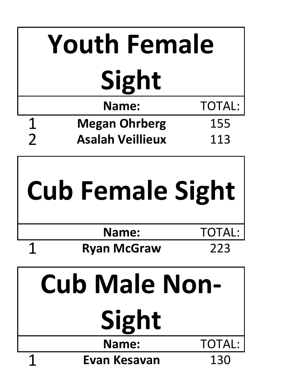| <b>Youth Female</b> |                               |               |
|---------------------|-------------------------------|---------------|
|                     | Sight                         |               |
|                     | <b>Name:</b>                  | <b>TOTAL:</b> |
| $\mathbf 1$         | <b>Megan Ohrberg</b>          | 155           |
| $\overline{2}$      | <b>Asalah Veillieux</b>       | 113           |
|                     |                               |               |
|                     | <b>Cub Female Sight</b>       |               |
|                     | <b>Name:</b>                  | TOTAL:        |
| 4                   | <b>Ryan McGraw</b>            | 223           |
|                     | <b>Cub Male Non-</b><br>Sight |               |
|                     | Name:                         | <b>TOTAL:</b> |